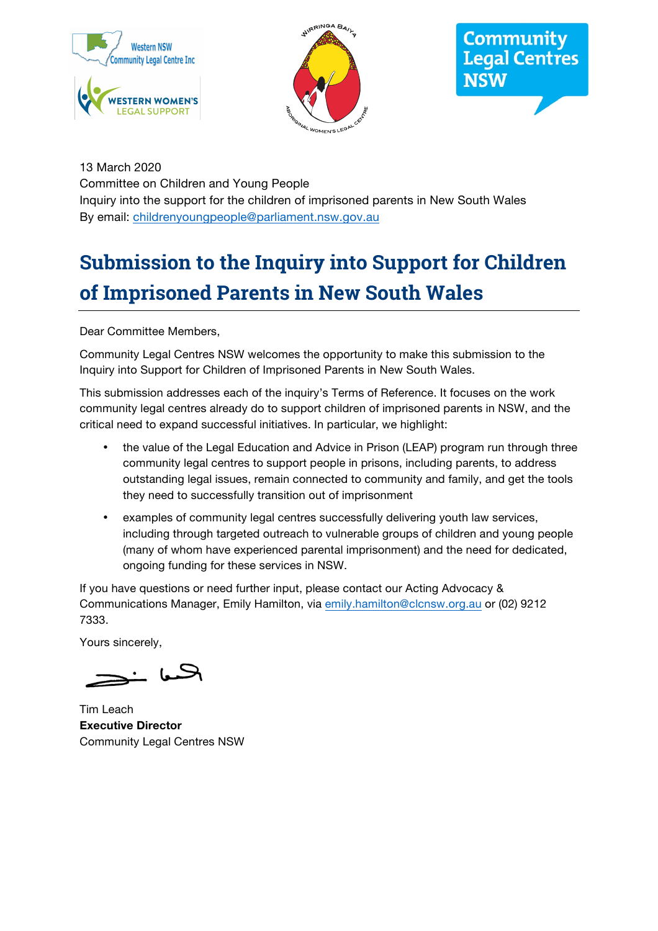





13 March 2020 Committee on Children and Young People Inquiry into the support for the children of imprisoned parents in New South Wales By email: childrenyoungpeople@parliament.nsw.gov.au

# **Submission to the Inquiry into Support for Children of Imprisoned Parents in New South Wales**

Dear Committee Members,

Community Legal Centres NSW welcomes the opportunity to make this submission to the Inquiry into Support for Children of Imprisoned Parents in New South Wales.

This submission addresses each of the inquiry's Terms of Reference. It focuses on the work community legal centres already do to support children of imprisoned parents in NSW, and the critical need to expand successful initiatives. In particular, we highlight:

- the value of the Legal Education and Advice in Prison (LEAP) program run through three community legal centres to support people in prisons, including parents, to address outstanding legal issues, remain connected to community and family, and get the tools they need to successfully transition out of imprisonment
- examples of community legal centres successfully delivering youth law services, including through targeted outreach to vulnerable groups of children and young people (many of whom have experienced parental imprisonment) and the need for dedicated, ongoing funding for these services in NSW.

If you have questions or need further input, please contact our Acting Advocacy & Communications Manager, Emily Hamilton, via emily.hamilton@clcnsw.org.au or (02) 9212 7333.

Yours sincerely,

 $-$  by  $-$ 

Tim Leach **Executive Director** Community Legal Centres NSW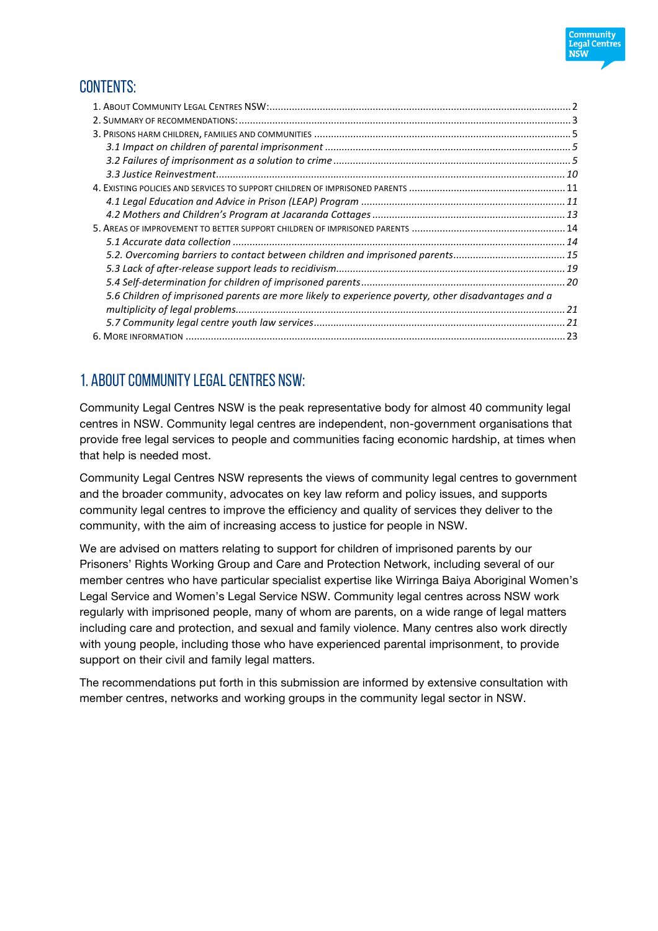

# CONTENTS:

| 5.2. Overcoming barriers to contact between children and imprisoned parents15                       |  |
|-----------------------------------------------------------------------------------------------------|--|
|                                                                                                     |  |
|                                                                                                     |  |
| 5.6 Children of imprisoned parents are more likely to experience poverty, other disadvantages and a |  |
|                                                                                                     |  |
|                                                                                                     |  |
|                                                                                                     |  |

# 1. About Community Legal Centres NSW:

Community Legal Centres NSW is the peak representative body for almost 40 community legal centres in NSW. Community legal centres are independent, non-government organisations that provide free legal services to people and communities facing economic hardship, at times when that help is needed most.

Community Legal Centres NSW represents the views of community legal centres to government and the broader community, advocates on key law reform and policy issues, and supports community legal centres to improve the efficiency and quality of services they deliver to the community, with the aim of increasing access to justice for people in NSW.

We are advised on matters relating to support for children of imprisoned parents by our Prisoners' Rights Working Group and Care and Protection Network, including several of our member centres who have particular specialist expertise like Wirringa Baiya Aboriginal Women's Legal Service and Women's Legal Service NSW. Community legal centres across NSW work regularly with imprisoned people, many of whom are parents, on a wide range of legal matters including care and protection, and sexual and family violence. Many centres also work directly with young people, including those who have experienced parental imprisonment, to provide support on their civil and family legal matters.

The recommendations put forth in this submission are informed by extensive consultation with member centres, networks and working groups in the community legal sector in NSW.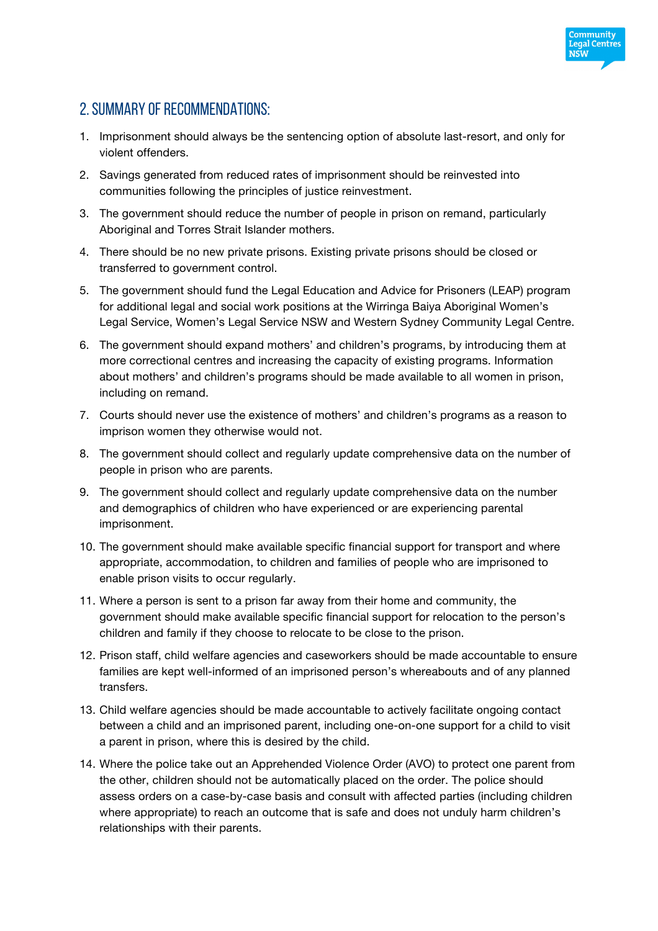

# 2. Summary of recommendations:

- 1. Imprisonment should always be the sentencing option of absolute last-resort, and only for violent offenders.
- 2. Savings generated from reduced rates of imprisonment should be reinvested into communities following the principles of justice reinvestment.
- 3. The government should reduce the number of people in prison on remand, particularly Aboriginal and Torres Strait Islander mothers.
- 4. There should be no new private prisons. Existing private prisons should be closed or transferred to government control.
- 5. The government should fund the Legal Education and Advice for Prisoners (LEAP) program for additional legal and social work positions at the Wirringa Baiya Aboriginal Women's Legal Service, Women's Legal Service NSW and Western Sydney Community Legal Centre.
- 6. The government should expand mothers' and children's programs, by introducing them at more correctional centres and increasing the capacity of existing programs. Information about mothers' and children's programs should be made available to all women in prison, including on remand.
- 7. Courts should never use the existence of mothers' and children's programs as a reason to imprison women they otherwise would not.
- 8. The government should collect and regularly update comprehensive data on the number of people in prison who are parents.
- 9. The government should collect and regularly update comprehensive data on the number and demographics of children who have experienced or are experiencing parental imprisonment.
- 10. The government should make available specific financial support for transport and where appropriate, accommodation, to children and families of people who are imprisoned to enable prison visits to occur regularly.
- 11. Where a person is sent to a prison far away from their home and community, the government should make available specific financial support for relocation to the person's children and family if they choose to relocate to be close to the prison.
- 12. Prison staff, child welfare agencies and caseworkers should be made accountable to ensure families are kept well-informed of an imprisoned person's whereabouts and of any planned transfers.
- 13. Child welfare agencies should be made accountable to actively facilitate ongoing contact between a child and an imprisoned parent, including one-on-one support for a child to visit a parent in prison, where this is desired by the child.
- 14. Where the police take out an Apprehended Violence Order (AVO) to protect one parent from the other, children should not be automatically placed on the order. The police should assess orders on a case-by-case basis and consult with affected parties (including children where appropriate) to reach an outcome that is safe and does not unduly harm children's relationships with their parents.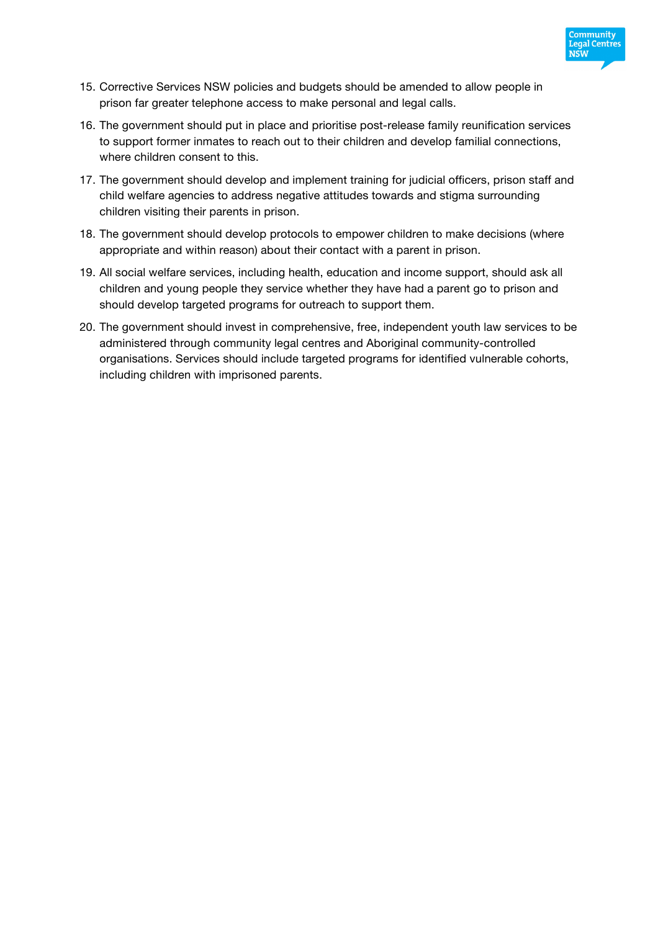

- 15. Corrective Services NSW policies and budgets should be amended to allow people in prison far greater telephone access to make personal and legal calls.
- 16. The government should put in place and prioritise post-release family reunification services to support former inmates to reach out to their children and develop familial connections, where children consent to this.
- 17. The government should develop and implement training for judicial officers, prison staff and child welfare agencies to address negative attitudes towards and stigma surrounding children visiting their parents in prison.
- 18. The government should develop protocols to empower children to make decisions (where appropriate and within reason) about their contact with a parent in prison.
- 19. All social welfare services, including health, education and income support, should ask all children and young people they service whether they have had a parent go to prison and should develop targeted programs for outreach to support them.
- 20. The government should invest in comprehensive, free, independent youth law services to be administered through community legal centres and Aboriginal community-controlled organisations. Services should include targeted programs for identified vulnerable cohorts, including children with imprisoned parents.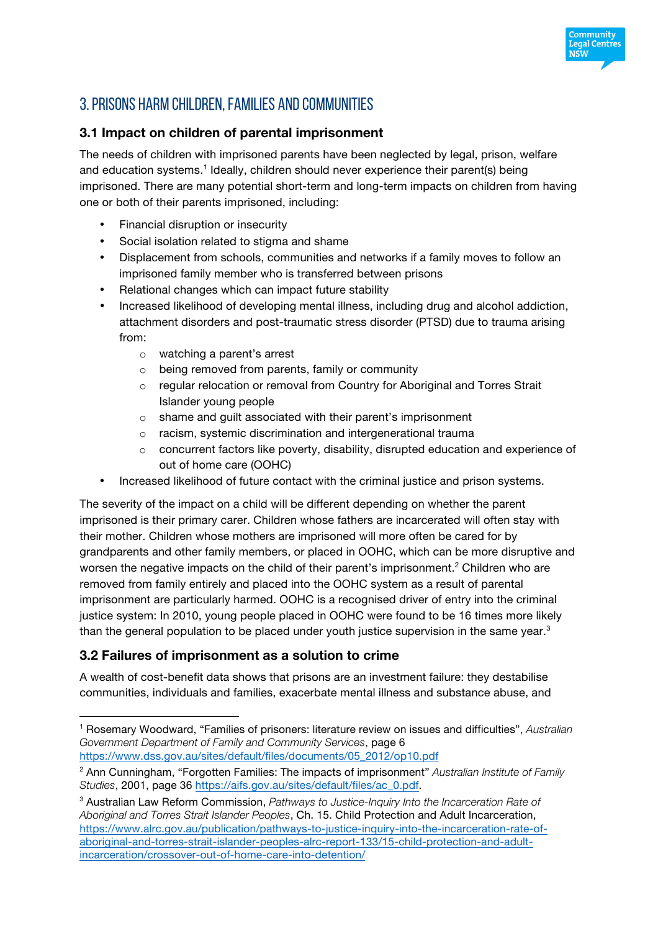

# 3. Prisons harm children, families and communities

#### **3.1 Impact on children of parental imprisonment**

The needs of children with imprisoned parents have been neglected by legal, prison, welfare and education systems.<sup>1</sup> Ideally, children should never experience their parent(s) being imprisoned. There are many potential short-term and long-term impacts on children from having one or both of their parents imprisoned, including:

- Financial disruption or insecurity
- Social isolation related to stigma and shame
- Displacement from schools, communities and networks if a family moves to follow an imprisoned family member who is transferred between prisons
- Relational changes which can impact future stability
- Increased likelihood of developing mental illness, including drug and alcohol addiction, attachment disorders and post-traumatic stress disorder (PTSD) due to trauma arising from:
	- o watching a parent's arrest
	- o being removed from parents, family or community
	- $\circ$  regular relocation or removal from Country for Aboriginal and Torres Strait Islander young people
	- o shame and guilt associated with their parent's imprisonment
	- o racism, systemic discrimination and intergenerational trauma
	- $\circ$  concurrent factors like poverty, disability, disrupted education and experience of out of home care (OOHC)
- Increased likelihood of future contact with the criminal justice and prison systems.

The severity of the impact on a child will be different depending on whether the parent imprisoned is their primary carer. Children whose fathers are incarcerated will often stay with their mother. Children whose mothers are imprisoned will more often be cared for by grandparents and other family members, or placed in OOHC, which can be more disruptive and worsen the negative impacts on the child of their parent's imprisonment.<sup>2</sup> Children who are removed from family entirely and placed into the OOHC system as a result of parental imprisonment are particularly harmed. OOHC is a recognised driver of entry into the criminal justice system: In 2010, young people placed in OOHC were found to be 16 times more likely than the general population to be placed under youth justice supervision in the same year.<sup>3</sup>

#### **3.2 Failures of imprisonment as a solution to crime**

 $\overline{a}$ 

A wealth of cost-benefit data shows that prisons are an investment failure: they destabilise communities, individuals and families, exacerbate mental illness and substance abuse, and

<sup>1</sup> Rosemary Woodward, "Families of prisoners: literature review on issues and difficulties", *Australian Government Department of Family and Community Services*, page 6 https://www.dss.gov.au/sites/default/files/documents/05\_2012/op10.pdf

<sup>2</sup> Ann Cunningham, "Forgotten Families: The impacts of imprisonment" *Australian Institute of Family Studies*, 2001, page 36 https://aifs.gov.au/sites/default/files/ac\_0.pdf.

<sup>3</sup> Australian Law Reform Commission, *Pathways to Justice-Inquiry Into the Incarceration Rate of Aboriginal and Torres Strait Islander Peoples*, Ch. 15. Child Protection and Adult Incarceration, https://www.alrc.gov.au/publication/pathways-to-justice-inquiry-into-the-incarceration-rate-ofaboriginal-and-torres-strait-islander-peoples-alrc-report-133/15-child-protection-and-adultincarceration/crossover-out-of-home-care-into-detention/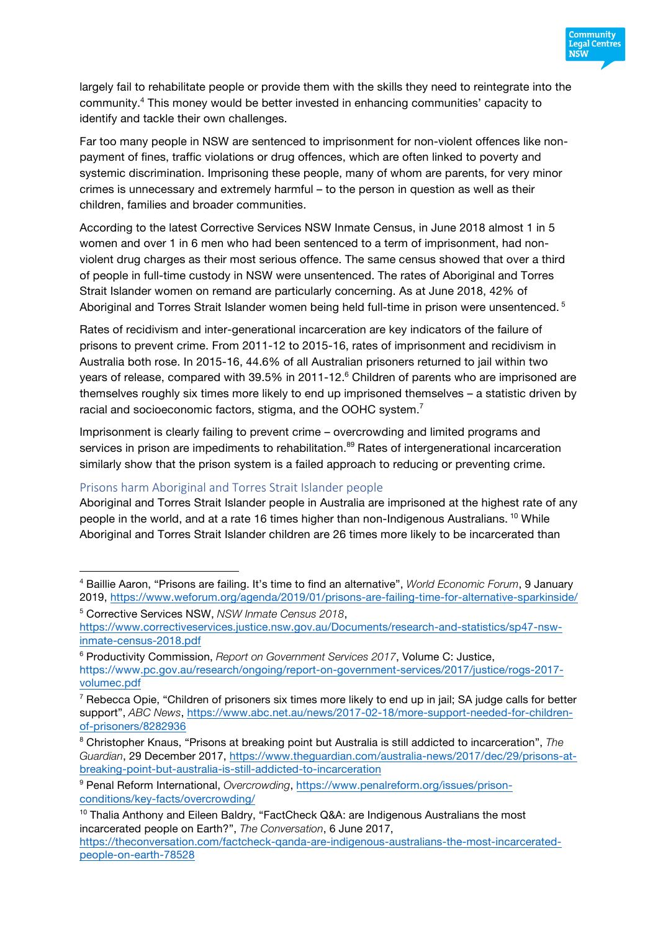

largely fail to rehabilitate people or provide them with the skills they need to reintegrate into the community. <sup>4</sup> This money would be better invested in enhancing communities' capacity to identify and tackle their own challenges.

Far too many people in NSW are sentenced to imprisonment for non-violent offences like nonpayment of fines, traffic violations or drug offences, which are often linked to poverty and systemic discrimination. Imprisoning these people, many of whom are parents, for very minor crimes is unnecessary and extremely harmful – to the person in question as well as their children, families and broader communities.

According to the latest Corrective Services NSW Inmate Census, in June 2018 almost 1 in 5 women and over 1 in 6 men who had been sentenced to a term of imprisonment, had nonviolent drug charges as their most serious offence. The same census showed that over a third of people in full-time custody in NSW were unsentenced. The rates of Aboriginal and Torres Strait Islander women on remand are particularly concerning. As at June 2018, 42% of Aboriginal and Torres Strait Islander women being held full-time in prison were unsentenced.<sup>5</sup>

Rates of recidivism and inter-generational incarceration are key indicators of the failure of prisons to prevent crime. From 2011-12 to 2015-16, rates of imprisonment and recidivism in Australia both rose. In 2015-16, 44.6% of all Australian prisoners returned to jail within two years of release, compared with 39.5% in 2011-12.<sup>6</sup> Children of parents who are imprisoned are themselves roughly six times more likely to end up imprisoned themselves – a statistic driven by racial and socioeconomic factors, stigma, and the OOHC system.<sup>7</sup>

Imprisonment is clearly failing to prevent crime – overcrowding and limited programs and services in prison are impediments to rehabilitation.<sup>89</sup> Rates of intergenerational incarceration similarly show that the prison system is a failed approach to reducing or preventing crime.

#### Prisons harm Aboriginal and Torres Strait Islander people

Aboriginal and Torres Strait Islander people in Australia are imprisoned at the highest rate of any people in the world, and at a rate 16 times higher than non-Indigenous Australians.<sup>10</sup> While Aboriginal and Torres Strait Islander children are 26 times more likely to be incarcerated than

 $\overline{a}$ <sup>4</sup> Baillie Aaron, "Prisons are failing. It's time to find an alternative", *World Economic Forum*, 9 January 2019, https://www.weforum.org/agenda/2019/01/prisons-are-failing-time-for-alternative-sparkinside/

<sup>5</sup> Corrective Services NSW, *NSW Inmate Census 2018*, https://www.correctiveservices.justice.nsw.gov.au/Documents/research-and-statistics/sp47-nswinmate-census-2018.pdf

<sup>6</sup> Productivity Commission, *Report on Government Services 2017*, Volume C: Justice, https://www.pc.gov.au/research/ongoing/report-on-government-services/2017/justice/rogs-2017 volumec.pdf

 $7$  Rebecca Opie, "Children of prisoners six times more likely to end up in jail; SA judge calls for better support", *ABC News*, https://www.abc.net.au/news/2017-02-18/more-support-needed-for-childrenof-prisoners/8282936

<sup>8</sup> Christopher Knaus, "Prisons at breaking point but Australia is still addicted to incarceration", *The Guardian*, 29 December 2017, https://www.theguardian.com/australia-news/2017/dec/29/prisons-atbreaking-point-but-australia-is-still-addicted-to-incarceration

<sup>9</sup> Penal Reform International, *Overcrowding*, https://www.penalreform.org/issues/prisonconditions/key-facts/overcrowding/

<sup>&</sup>lt;sup>10</sup> Thalia Anthony and Eileen Baldry, "FactCheck Q&A: are Indigenous Australians the most incarcerated people on Earth?", *The Conversation*, 6 June 2017, https://theconversation.com/factcheck-qanda-are-indigenous-australians-the-most-incarcerated-

people-on-earth-78528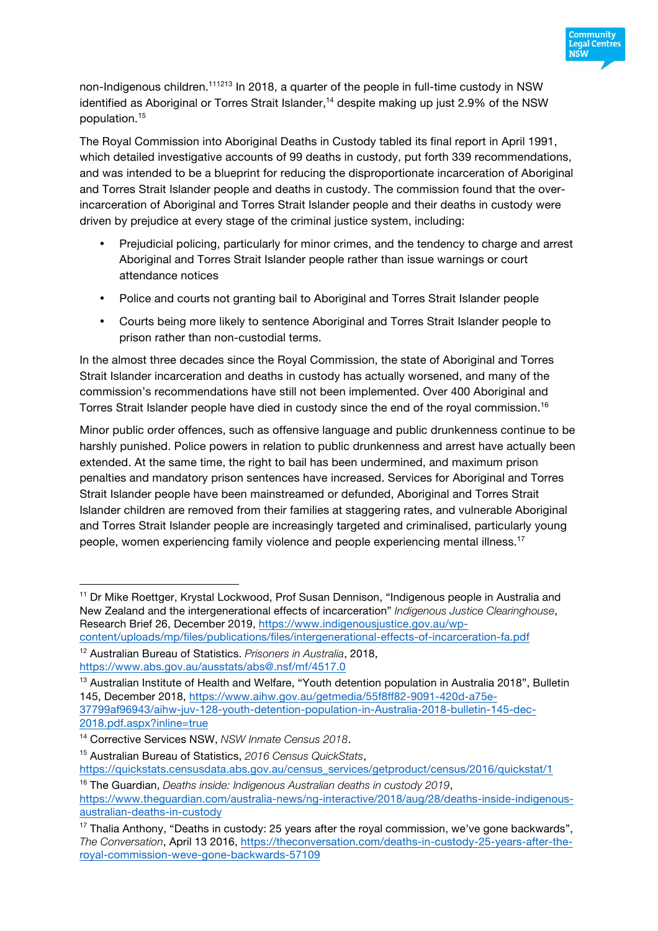

non-Indigenous children.<sup>111213</sup> In 2018, a quarter of the people in full-time custody in NSW identified as Aboriginal or Torres Strait Islander,<sup>14</sup> despite making up just 2.9% of the NSW population.15

The Royal Commission into Aboriginal Deaths in Custody tabled its final report in April 1991, which detailed investigative accounts of 99 deaths in custody, put forth 339 recommendations, and was intended to be a blueprint for reducing the disproportionate incarceration of Aboriginal and Torres Strait Islander people and deaths in custody. The commission found that the overincarceration of Aboriginal and Torres Strait Islander people and their deaths in custody were driven by prejudice at every stage of the criminal justice system, including:

- Prejudicial policing, particularly for minor crimes, and the tendency to charge and arrest Aboriginal and Torres Strait Islander people rather than issue warnings or court attendance notices
- Police and courts not granting bail to Aboriginal and Torres Strait Islander people
- Courts being more likely to sentence Aboriginal and Torres Strait Islander people to prison rather than non-custodial terms.

In the almost three decades since the Royal Commission, the state of Aboriginal and Torres Strait Islander incarceration and deaths in custody has actually worsened, and many of the commission's recommendations have still not been implemented. Over 400 Aboriginal and Torres Strait Islander people have died in custody since the end of the royal commission.<sup>16</sup>

Minor public order offences, such as offensive language and public drunkenness continue to be harshly punished. Police powers in relation to public drunkenness and arrest have actually been extended. At the same time, the right to bail has been undermined, and maximum prison penalties and mandatory prison sentences have increased. Services for Aboriginal and Torres Strait Islander people have been mainstreamed or defunded, Aboriginal and Torres Strait Islander children are removed from their families at staggering rates, and vulnerable Aboriginal and Torres Strait Islander people are increasingly targeted and criminalised, particularly young people, women experiencing family violence and people experiencing mental illness.<sup>17</sup>

 $\overline{a}$ <sup>11</sup> Dr Mike Roettger, Krystal Lockwood, Prof Susan Dennison, "Indigenous people in Australia and New Zealand and the intergenerational effects of incarceration" *Indigenous Justice Clearinghouse*, Research Brief 26, December 2019, https://www.indigenousjustice.gov.au/wpcontent/uploads/mp/files/publications/files/intergenerational-effects-of-incarceration-fa.pdf

<sup>12</sup> Australian Bureau of Statistics. *Prisoners in Australia*, 2018, https://www.abs.gov.au/ausstats/abs@.nsf/mf/4517.0

<sup>&</sup>lt;sup>13</sup> Australian Institute of Health and Welfare, "Youth detention population in Australia 2018", Bulletin 145, December 2018, https://www.aihw.gov.au/getmedia/55f8ff82-9091-420d-a75e-37799af96943/aihw-juv-128-youth-detention-population-in-Australia-2018-bulletin-145-dec-2018.pdf.aspx?inline=true

<sup>14</sup> Corrective Services NSW, *NSW Inmate Census 2018*.

<sup>15</sup> Australian Bureau of Statistics, *2016 Census QuickStats*,

https://quickstats.censusdata.abs.gov.au/census\_services/getproduct/census/2016/quickstat/1

<sup>16</sup> The Guardian, *Deaths inside: Indigenous Australian deaths in custody 2019*, https://www.theguardian.com/australia-news/ng-interactive/2018/aug/28/deaths-inside-indigenousaustralian-deaths-in-custody

<sup>&</sup>lt;sup>17</sup> Thalia Anthony, "Deaths in custody: 25 years after the royal commission, we've gone backwards", *The Conversation*, April 13 2016, https://theconversation.com/deaths-in-custody-25-years-after-theroyal-commission-weve-gone-backwards-57109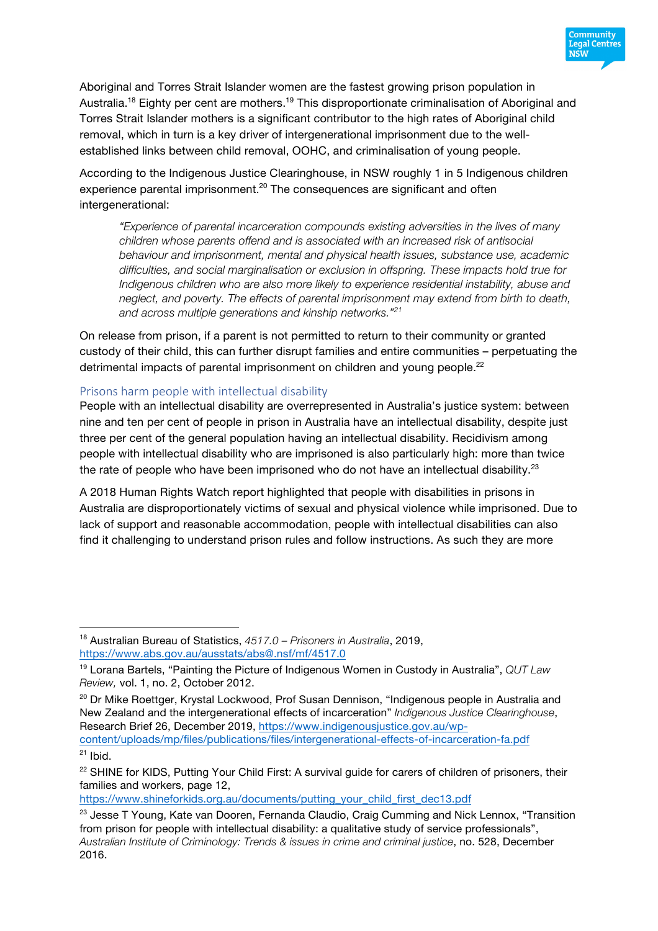

Aboriginal and Torres Strait Islander women are the fastest growing prison population in Australia.<sup>18</sup> Eighty per cent are mothers.<sup>19</sup> This disproportionate criminalisation of Aboriginal and Torres Strait Islander mothers is a significant contributor to the high rates of Aboriginal child removal, which in turn is a key driver of intergenerational imprisonment due to the wellestablished links between child removal, OOHC, and criminalisation of young people.

According to the Indigenous Justice Clearinghouse, in NSW roughly 1 in 5 Indigenous children experience parental imprisonment.<sup>20</sup> The consequences are significant and often intergenerational:

*"Experience of parental incarceration compounds existing adversities in the lives of many children whose parents offend and is associated with an increased risk of antisocial behaviour and imprisonment, mental and physical health issues, substance use, academic difficulties, and social marginalisation or exclusion in offspring. These impacts hold true for Indigenous children who are also more likely to experience residential instability, abuse and neglect, and poverty. The effects of parental imprisonment may extend from birth to death, and across multiple generations and kinship networks." 21*

On release from prison, if a parent is not permitted to return to their community or granted custody of their child, this can further disrupt families and entire communities – perpetuating the detrimental impacts of parental imprisonment on children and young people.<sup>22</sup>

#### Prisons harm people with intellectual disability

 $\overline{a}$ 

People with an intellectual disability are overrepresented in Australia's justice system: between nine and ten per cent of people in prison in Australia have an intellectual disability, despite just three per cent of the general population having an intellectual disability. Recidivism among people with intellectual disability who are imprisoned is also particularly high: more than twice the rate of people who have been imprisoned who do not have an intellectual disability. $23$ 

A 2018 Human Rights Watch report highlighted that people with disabilities in prisons in Australia are disproportionately victims of sexual and physical violence while imprisoned. Due to lack of support and reasonable accommodation, people with intellectual disabilities can also find it challenging to understand prison rules and follow instructions. As such they are more

https://www.shineforkids.org.au/documents/putting\_your\_child\_first\_dec13.pdf

<sup>18</sup> Australian Bureau of Statistics, *4517.0 – Prisoners in Australia*, 2019, https://www.abs.gov.au/ausstats/abs@.nsf/mf/4517.0

<sup>19</sup> Lorana Bartels, "Painting the Picture of Indigenous Women in Custody in Australia", *QUT Law Review,* vol. 1, no. 2, October 2012.

<sup>&</sup>lt;sup>20</sup> Dr Mike Roettger, Krystal Lockwood, Prof Susan Dennison, "Indigenous people in Australia and New Zealand and the intergenerational effects of incarceration" *Indigenous Justice Clearinghouse*, Research Brief 26, December 2019, https://www.indigenousjustice.gov.au/wp-

content/uploads/mp/files/publications/files/intergenerational-effects-of-incarceration-fa.pdf  $21$  Ibid.

<sup>&</sup>lt;sup>22</sup> SHINE for KIDS, Putting Your Child First: A survival guide for carers of children of prisoners, their families and workers, page 12,

<sup>&</sup>lt;sup>23</sup> Jesse T Young, Kate van Dooren, Fernanda Claudio, Craig Cumming and Nick Lennox, "Transition from prison for people with intellectual disability: a qualitative study of service professionals", *Australian Institute of Criminology: Trends & issues in crime and criminal justice*, no. 528, December 2016.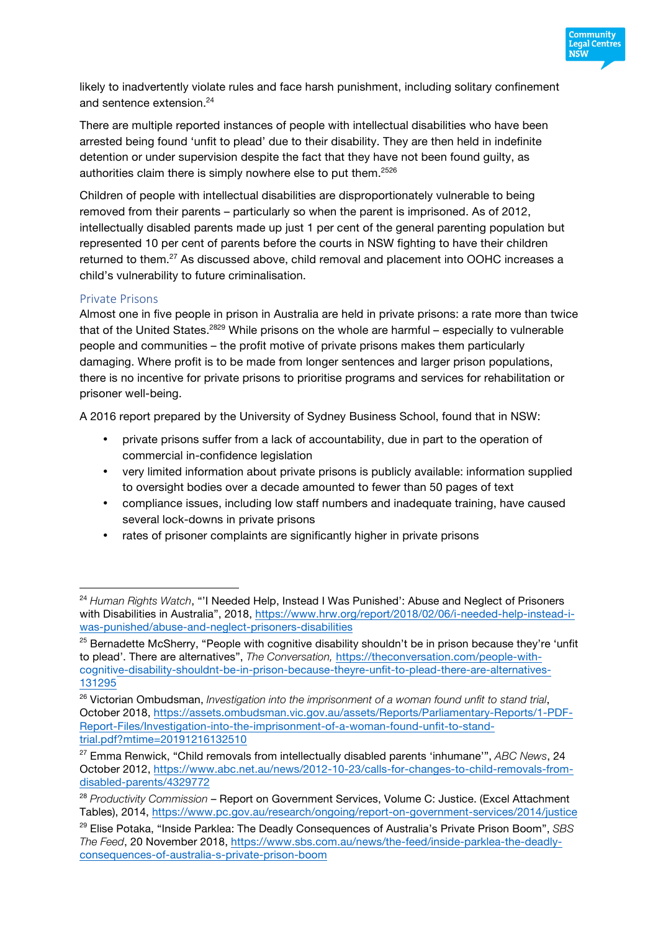

likely to inadvertently violate rules and face harsh punishment, including solitary confinement and sentence extension.<sup>24</sup>

There are multiple reported instances of people with intellectual disabilities who have been arrested being found 'unfit to plead' due to their disability. They are then held in indefinite detention or under supervision despite the fact that they have not been found guilty, as authorities claim there is simply nowhere else to put them.<sup>2526</sup>

Children of people with intellectual disabilities are disproportionately vulnerable to being removed from their parents – particularly so when the parent is imprisoned. As of 2012, intellectually disabled parents made up just 1 per cent of the general parenting population but represented 10 per cent of parents before the courts in NSW fighting to have their children returned to them.<sup>27</sup> As discussed above, child removal and placement into OOHC increases a child's vulnerability to future criminalisation.

#### Private Prisons

 $\overline{a}$ 

Almost one in five people in prison in Australia are held in private prisons: a rate more than twice that of the United States.<sup>2829</sup> While prisons on the whole are harmful – especially to vulnerable people and communities – the profit motive of private prisons makes them particularly damaging. Where profit is to be made from longer sentences and larger prison populations, there is no incentive for private prisons to prioritise programs and services for rehabilitation or prisoner well-being.

A 2016 report prepared by the University of Sydney Business School, found that in NSW:

- private prisons suffer from a lack of accountability, due in part to the operation of commercial in-confidence legislation
- very limited information about private prisons is publicly available: information supplied to oversight bodies over a decade amounted to fewer than 50 pages of text
- compliance issues, including low staff numbers and inadequate training, have caused several lock-downs in private prisons
- rates of prisoner complaints are significantly higher in private prisons

<sup>24</sup> *Human Rights Watch*, "'I Needed Help, Instead I Was Punished': Abuse and Neglect of Prisoners with Disabilities in Australia", 2018, https://www.hrw.org/report/2018/02/06/i-needed-help-instead-iwas-punished/abuse-and-neglect-prisoners-disabilities

<sup>&</sup>lt;sup>25</sup> Bernadette McSherry, "People with cognitive disability shouldn't be in prison because they're 'unfit to plead'. There are alternatives", *The Conversation,* https://theconversation.com/people-withcognitive-disability-shouldnt-be-in-prison-because-theyre-unfit-to-plead-there-are-alternatives-131295

<sup>26</sup> Victorian Ombudsman, *Investigation into the imprisonment of a woman found unfit to stand trial*, October 2018, https://assets.ombudsman.vic.gov.au/assets/Reports/Parliamentary-Reports/1-PDF-Report-Files/Investigation-into-the-imprisonment-of-a-woman-found-unfit-to-standtrial.pdf?mtime=20191216132510

<sup>27</sup> Emma Renwick, "Child removals from intellectually disabled parents 'inhumane'", *ABC News*, 24 October 2012, https://www.abc.net.au/news/2012-10-23/calls-for-changes-to-child-removals-fromdisabled-parents/4329772

<sup>28</sup> *Productivity Commission* – Report on Government Services, Volume C: Justice. (Excel Attachment Tables), 2014, https://www.pc.gov.au/research/ongoing/report-on-government-services/2014/justice

<sup>29</sup> Elise Potaka, "Inside Parklea: The Deadly Consequences of Australia's Private Prison Boom", *SBS The Feed*, 20 November 2018, https://www.sbs.com.au/news/the-feed/inside-parklea-the-deadlyconsequences-of-australia-s-private-prison-boom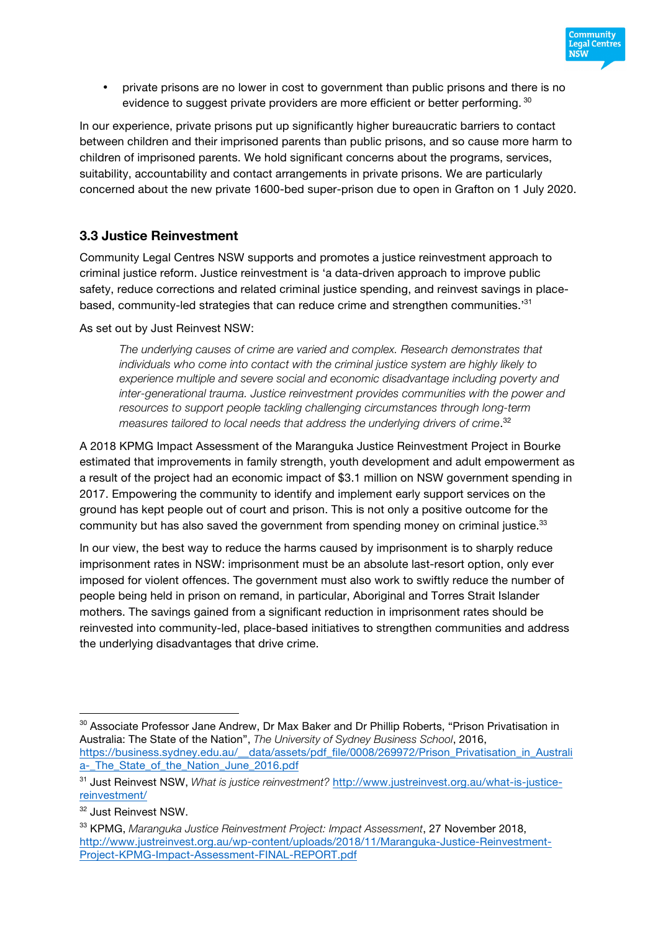

• private prisons are no lower in cost to government than public prisons and there is no evidence to suggest private providers are more efficient or better performing. 30

In our experience, private prisons put up significantly higher bureaucratic barriers to contact between children and their imprisoned parents than public prisons, and so cause more harm to children of imprisoned parents. We hold significant concerns about the programs, services, suitability, accountability and contact arrangements in private prisons. We are particularly concerned about the new private 1600-bed super-prison due to open in Grafton on 1 July 2020.

#### **3.3 Justice Reinvestment**

Community Legal Centres NSW supports and promotes a justice reinvestment approach to criminal justice reform. Justice reinvestment is 'a data-driven approach to improve public safety, reduce corrections and related criminal justice spending, and reinvest savings in placebased, community-led strategies that can reduce crime and strengthen communities.'<sup>31</sup>

As set out by Just Reinvest NSW:

*The underlying causes of crime are varied and complex. Research demonstrates that individuals who come into contact with the criminal justice system are highly likely to experience multiple and severe social and economic disadvantage including poverty and inter-generational trauma. Justice reinvestment provides communities with the power and resources to support people tackling challenging circumstances through long-term measures tailored to local needs that address the underlying drivers of crime*. 32

A 2018 KPMG Impact Assessment of the Maranguka Justice Reinvestment Project in Bourke estimated that improvements in family strength, youth development and adult empowerment as a result of the project had an economic impact of \$3.1 million on NSW government spending in 2017. Empowering the community to identify and implement early support services on the ground has kept people out of court and prison. This is not only a positive outcome for the community but has also saved the government from spending money on criminal justice.<sup>33</sup>

In our view, the best way to reduce the harms caused by imprisonment is to sharply reduce imprisonment rates in NSW: imprisonment must be an absolute last-resort option, only ever imposed for violent offences. The government must also work to swiftly reduce the number of people being held in prison on remand, in particular, Aboriginal and Torres Strait Islander mothers. The savings gained from a significant reduction in imprisonment rates should be reinvested into community-led, place-based initiatives to strengthen communities and address the underlying disadvantages that drive crime.

 $\overline{a}$ 

<sup>&</sup>lt;sup>30</sup> Associate Professor Jane Andrew, Dr Max Baker and Dr Phillip Roberts, "Prison Privatisation in Australia: The State of the Nation", *The University of Sydney Business School*, 2016, https://business.sydney.edu.au/\_\_data/assets/pdf\_file/0008/269972/Prison\_Privatisation\_in\_Australi a-\_The\_State\_of\_the\_Nation\_June\_2016.pdf

<sup>31</sup> Just Reinvest NSW, *What is justice reinvestment?* http://www.justreinvest.org.au/what-is-justicereinvestment/

<sup>&</sup>lt;sup>32</sup> Just Reinvest NSW.

<sup>33</sup> KPMG, *Maranguka Justice Reinvestment Project: Impact Assessment*, 27 November 2018, http://www.justreinvest.org.au/wp-content/uploads/2018/11/Maranguka-Justice-Reinvestment-Project-KPMG-Impact-Assessment-FINAL-REPORT.pdf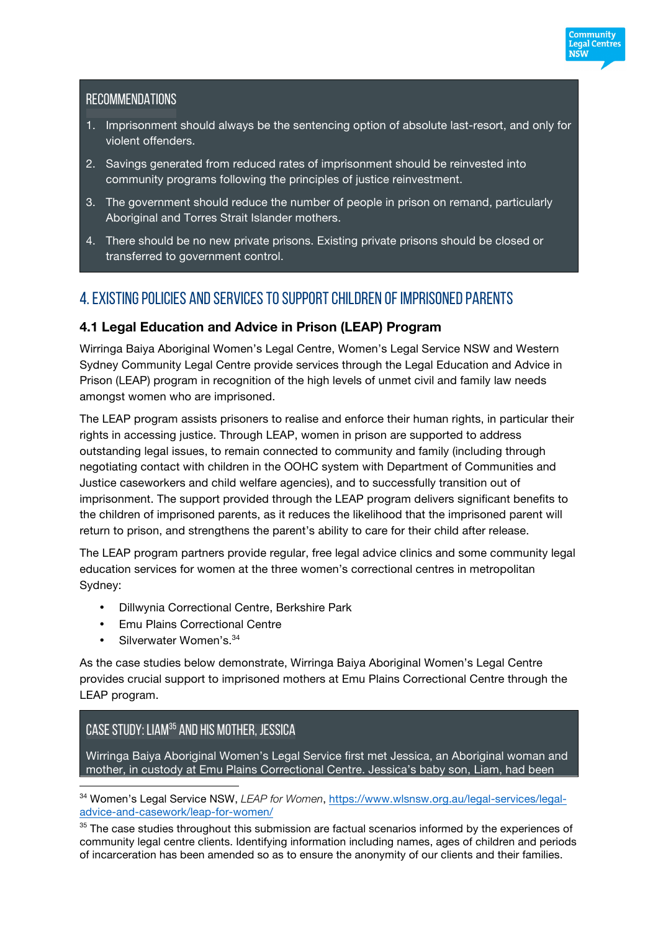#### **RECOMMENDATIONS**

1. Imprisonment should always be the sentencing option of absolute last-resort, and only for violent offenders.

Community Legal Centres พรัพ

- 2. Savings generated from reduced rates of imprisonment should be reinvested into community programs following the principles of justice reinvestment.
- 3. The government should reduce the number of people in prison on remand, particularly Aboriginal and Torres Strait Islander mothers.
- 4. There should be no new private prisons. Existing private prisons should be closed or transferred to government control.

# 4. Existing policies and services to support children of imprisoned parents

#### **4.1 Legal Education and Advice in Prison (LEAP) Program**

Wirringa Baiya Aboriginal Women's Legal Centre, Women's Legal Service NSW and Western Sydney Community Legal Centre provide services through the Legal Education and Advice in Prison (LEAP) program in recognition of the high levels of unmet civil and family law needs amongst women who are imprisoned.

The LEAP program assists prisoners to realise and enforce their human rights, in particular their rights in accessing justice. Through LEAP, women in prison are supported to address outstanding legal issues, to remain connected to community and family (including through negotiating contact with children in the OOHC system with Department of Communities and Justice caseworkers and child welfare agencies), and to successfully transition out of imprisonment. The support provided through the LEAP program delivers significant benefits to the children of imprisoned parents, as it reduces the likelihood that the imprisoned parent will return to prison, and strengthens the parent's ability to care for their child after release.

The LEAP program partners provide regular, free legal advice clinics and some community legal education services for women at the three women's correctional centres in metropolitan Sydney:

- Dillwynia Correctional Centre, Berkshire Park
- Emu Plains Correctional Centre
- Silverwater Women's. 34

 $\overline{a}$ 

As the case studies below demonstrate, Wirringa Baiya Aboriginal Women's Legal Centre provides crucial support to imprisoned mothers at Emu Plains Correctional Centre through the LEAP program.

# Case study: Liam35 and his mother, Jessica

Wirringa Baiya Aboriginal Women's Legal Service first met Jessica, an Aboriginal woman and mother, in custody at Emu Plains Correctional Centre. Jessica's baby son, Liam, had been

<sup>34</sup> Women's Legal Service NSW, *LEAP for Women*, https://www.wlsnsw.org.au/legal-services/legaladvice-and-casework/leap-for-women/

<sup>35</sup> The case studies throughout this submission are factual scenarios informed by the experiences of community legal centre clients. Identifying information including names, ages of children and periods of incarceration has been amended so as to ensure the anonymity of our clients and their families.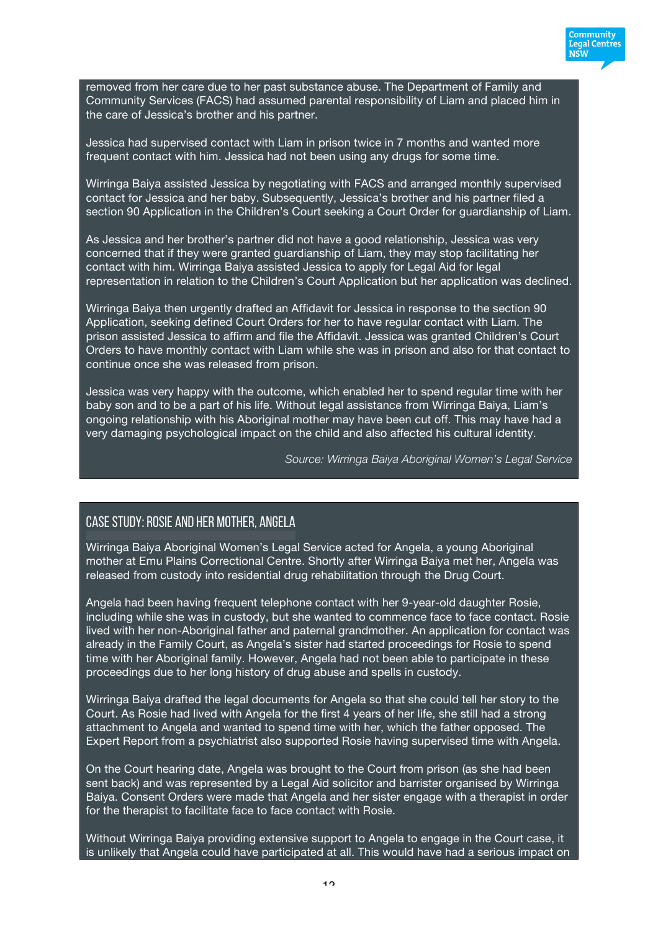

removed from her care due to her past substance abuse. The Department of Family and Community Services (FACS) had assumed parental responsibility of Liam and placed him in the care of Jessica's brother and his partner.

Jessica had supervised contact with Liam in prison twice in 7 months and wanted more frequent contact with him. Jessica had not been using any drugs for some time.

Wirringa Baiya assisted Jessica by negotiating with FACS and arranged monthly supervised contact for Jessica and her baby. Subsequently, Jessica's brother and his partner filed a section 90 Application in the Children's Court seeking a Court Order for guardianship of Liam.

As Jessica and her brother's partner did not have a good relationship, Jessica was very concerned that if they were granted guardianship of Liam, they may stop facilitating her contact with him. Wirringa Baiya assisted Jessica to apply for Legal Aid for legal representation in relation to the Children's Court Application but her application was declined.

Wirringa Baiya then urgently drafted an Affidavit for Jessica in response to the section 90 Application, seeking defined Court Orders for her to have regular contact with Liam. The prison assisted Jessica to affirm and file the Affidavit. Jessica was granted Children's Court Orders to have monthly contact with Liam while she was in prison and also for that contact to continue once she was released from prison.

Jessica was very happy with the outcome, which enabled her to spend regular time with her baby son and to be a part of his life. Without legal assistance from Wirringa Baiya, Liam's ongoing relationship with his Aboriginal mother may have been cut off. This may have had a very damaging psychological impact on the child and also affected his cultural identity.

*Source: Wirringa Baiya Aboriginal Women's Legal Service*

## Case study: Rosie and her mother, Angela

Wirringa Baiya Aboriginal Women's Legal Service acted for Angela, a young Aboriginal mother at Emu Plains Correctional Centre. Shortly after Wirringa Baiya met her, Angela was released from custody into residential drug rehabilitation through the Drug Court.

Angela had been having frequent telephone contact with her 9-year-old daughter Rosie, including while she was in custody, but she wanted to commence face to face contact. Rosie lived with her non-Aboriginal father and paternal grandmother. An application for contact was already in the Family Court, as Angela's sister had started proceedings for Rosie to spend time with her Aboriginal family. However, Angela had not been able to participate in these proceedings due to her long history of drug abuse and spells in custody.

Wirringa Baiya drafted the legal documents for Angela so that she could tell her story to the Court. As Rosie had lived with Angela for the first 4 years of her life, she still had a strong attachment to Angela and wanted to spend time with her, which the father opposed. The Expert Report from a psychiatrist also supported Rosie having supervised time with Angela.

On the Court hearing date, Angela was brought to the Court from prison (as she had been sent back) and was represented by a Legal Aid solicitor and barrister organised by Wirringa Baiya. Consent Orders were made that Angela and her sister engage with a therapist in order for the therapist to facilitate face to face contact with Rosie.

Without Wirringa Baiya providing extensive support to Angela to engage in the Court case, it is unlikely that Angela could have participated at all. This would have had a serious impact on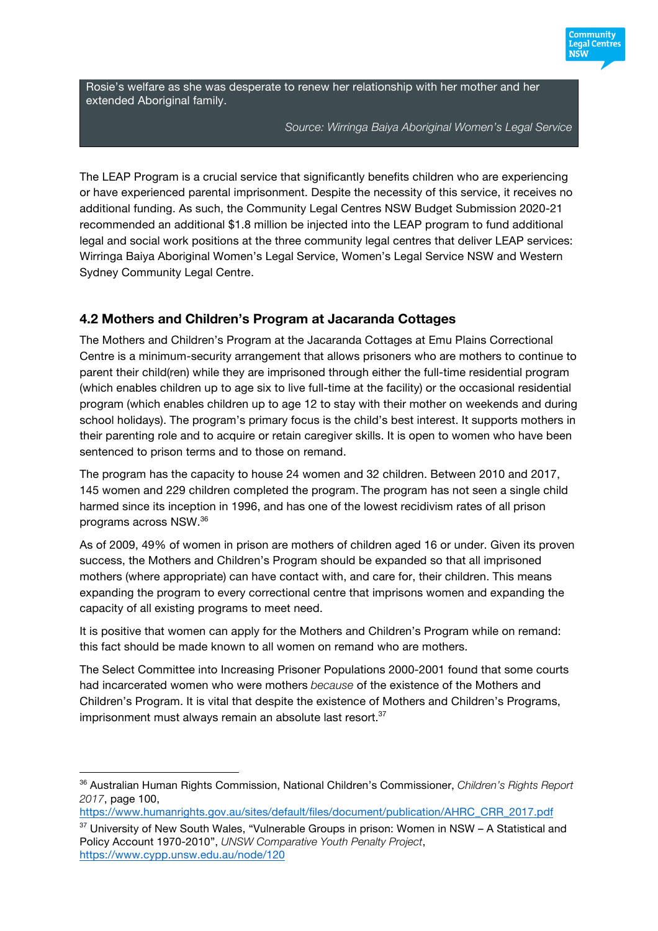

Rosie's welfare as she was desperate to renew her relationship with her mother and her extended Aboriginal family.

*Source: Wirringa Baiya Aboriginal Women's Legal Service*

The LEAP Program is a crucial service that significantly benefits children who are experiencing or have experienced parental imprisonment. Despite the necessity of this service, it receives no additional funding. As such, the Community Legal Centres NSW Budget Submission 2020-21 recommended an additional \$1.8 million be injected into the LEAP program to fund additional legal and social work positions at the three community legal centres that deliver LEAP services: Wirringa Baiya Aboriginal Women's Legal Service, Women's Legal Service NSW and Western Sydney Community Legal Centre.

## **4.2 Mothers and Children's Program at Jacaranda Cottages**

The Mothers and Children's Program at the Jacaranda Cottages at Emu Plains Correctional Centre is a minimum-security arrangement that allows prisoners who are mothers to continue to parent their child(ren) while they are imprisoned through either the full-time residential program (which enables children up to age six to live full-time at the facility) or the occasional residential program (which enables children up to age 12 to stay with their mother on weekends and during school holidays). The program's primary focus is the child's best interest. It supports mothers in their parenting role and to acquire or retain caregiver skills. It is open to women who have been sentenced to prison terms and to those on remand.

The program has the capacity to house 24 women and 32 children. Between 2010 and 2017, 145 women and 229 children completed the program. The program has not seen a single child harmed since its inception in 1996, and has one of the lowest recidivism rates of all prison programs across NSW. 36

As of 2009, 49% of women in prison are mothers of children aged 16 or under. Given its proven success, the Mothers and Children's Program should be expanded so that all imprisoned mothers (where appropriate) can have contact with, and care for, their children. This means expanding the program to every correctional centre that imprisons women and expanding the capacity of all existing programs to meet need.

It is positive that women can apply for the Mothers and Children's Program while on remand: this fact should be made known to all women on remand who are mothers.

The Select Committee into Increasing Prisoner Populations 2000-2001 found that some courts had incarcerated women who were mothers *because* of the existence of the Mothers and Children's Program. It is vital that despite the existence of Mothers and Children's Programs, imprisonment must always remain an absolute last resort.<sup>37</sup>

 $\overline{a}$ 

<sup>36</sup> Australian Human Rights Commission, National Children's Commissioner, *Children's Rights Report 2017*, page 100,

https://www.humanrights.gov.au/sites/default/files/document/publication/AHRC\_CRR\_2017.pdf

 $37$  University of New South Wales, "Vulnerable Groups in prison: Women in NSW – A Statistical and Policy Account 1970-2010", *UNSW Comparative Youth Penalty Project*, https://www.cypp.unsw.edu.au/node/120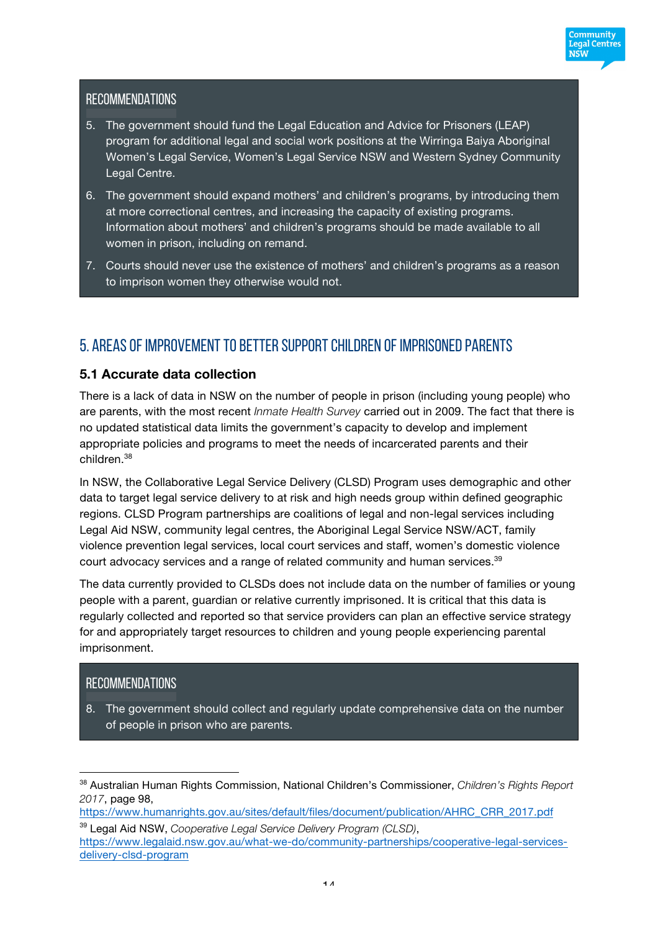

# **RECOMMENDATIONS**

- 5. The government should fund the Legal Education and Advice for Prisoners (LEAP) program for additional legal and social work positions at the Wirringa Baiya Aboriginal Women's Legal Service, Women's Legal Service NSW and Western Sydney Community Legal Centre.
- 6. The government should expand mothers' and children's programs, by introducing them at more correctional centres, and increasing the capacity of existing programs. Information about mothers' and children's programs should be made available to all women in prison, including on remand.
- 7. Courts should never use the existence of mothers' and children's programs as a reason to imprison women they otherwise would not.

# 5. Areas of improvement to better support children of imprisoned parents

#### **5.1 Accurate data collection**

There is a lack of data in NSW on the number of people in prison (including young people) who are parents, with the most recent *Inmate Health Survey* carried out in 2009. The fact that there is no updated statistical data limits the government's capacity to develop and implement appropriate policies and programs to meet the needs of incarcerated parents and their children. 38

In NSW, the Collaborative Legal Service Delivery (CLSD) Program uses demographic and other data to target legal service delivery to at risk and high needs group within defined geographic regions. CLSD Program partnerships are coalitions of legal and non-legal services including Legal Aid NSW, community legal centres, the Aboriginal Legal Service NSW/ACT, family violence prevention legal services, local court services and staff, women's domestic violence court advocacy services and a range of related community and human services.<sup>39</sup>

The data currently provided to CLSDs does not include data on the number of families or young people with a parent, guardian or relative currently imprisoned. It is critical that this data is regularly collected and reported so that service providers can plan an effective service strategy for and appropriately target resources to children and young people experiencing parental imprisonment.

## **RECOMMENDATIONS**

 $\overline{a}$ 

8. The government should collect and regularly update comprehensive data on the number of people in prison who are parents.

<sup>38</sup> Australian Human Rights Commission, National Children's Commissioner, *Children's Rights Report 2017*, page 98,

https://www.humanrights.gov.au/sites/default/files/document/publication/AHRC\_CRR\_2017.pdf

<sup>39</sup> Legal Aid NSW, *Cooperative Legal Service Delivery Program (CLSD)*, https://www.legalaid.nsw.gov.au/what-we-do/community-partnerships/cooperative-legal-servicesdelivery-clsd-program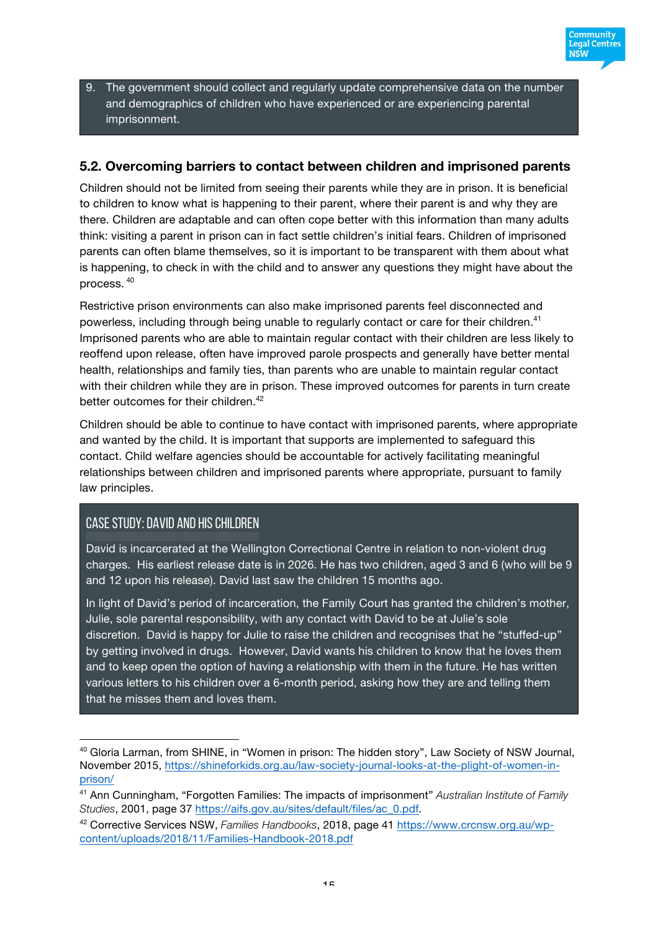

9. The government should collect and regularly update comprehensive data on the number and demographics of children who have experienced or are experiencing parental imprisonment.

#### **5.2. Overcoming barriers to contact between children and imprisoned parents**

Children should not be limited from seeing their parents while they are in prison. It is beneficial to children to know what is happening to their parent, where their parent is and why they are there. Children are adaptable and can often cope better with this information than many adults think: visiting a parent in prison can in fact settle children's initial fears. Children of imprisoned parents can often blame themselves, so it is important to be transparent with them about what is happening, to check in with the child and to answer any questions they might have about the process. <sup>40</sup>

Restrictive prison environments can also make imprisoned parents feel disconnected and powerless, including through being unable to regularly contact or care for their children.<sup>41</sup> Imprisoned parents who are able to maintain regular contact with their children are less likely to reoffend upon release, often have improved parole prospects and generally have better mental health, relationships and family ties, than parents who are unable to maintain regular contact with their children while they are in prison. These improved outcomes for parents in turn create better outcomes for their children.<sup>42</sup>

Children should be able to continue to have contact with imprisoned parents, where appropriate and wanted by the child. It is important that supports are implemented to safeguard this contact. Child welfare agencies should be accountable for actively facilitating meaningful relationships between children and imprisoned parents where appropriate, pursuant to family law principles.

## Case study: David and his children

 $\overline{a}$ 

David is incarcerated at the Wellington Correctional Centre in relation to non-violent drug charges. His earliest release date is in 2026. He has two children, aged 3 and 6 (who will be 9 and 12 upon his release). David last saw the children 15 months ago.

In light of David's period of incarceration, the Family Court has granted the children's mother, Julie, sole parental responsibility, with any contact with David to be at Julie's sole discretion. David is happy for Julie to raise the children and recognises that he "stuffed-up" by getting involved in drugs. However, David wants his children to know that he loves them and to keep open the option of having a relationship with them in the future. He has written various letters to his children over a 6-month period, asking how they are and telling them that he misses them and loves them.

<sup>&</sup>lt;sup>40</sup> Gloria Larman, from SHINE, in "Women in prison: The hidden story", Law Society of NSW Journal, November 2015, https://shineforkids.org.au/law-society-journal-looks-at-the-plight-of-women-inprison/

<sup>41</sup> Ann Cunningham, "Forgotten Families: The impacts of imprisonment" *Australian Institute of Family Studies*, 2001, page 37 https://aifs.gov.au/sites/default/files/ac\_0.pdf.

<sup>42</sup> Corrective Services NSW, *Families Handbooks*, 2018, page 41 https://www.crcnsw.org.au/wpcontent/uploads/2018/11/Families-Handbook-2018.pdf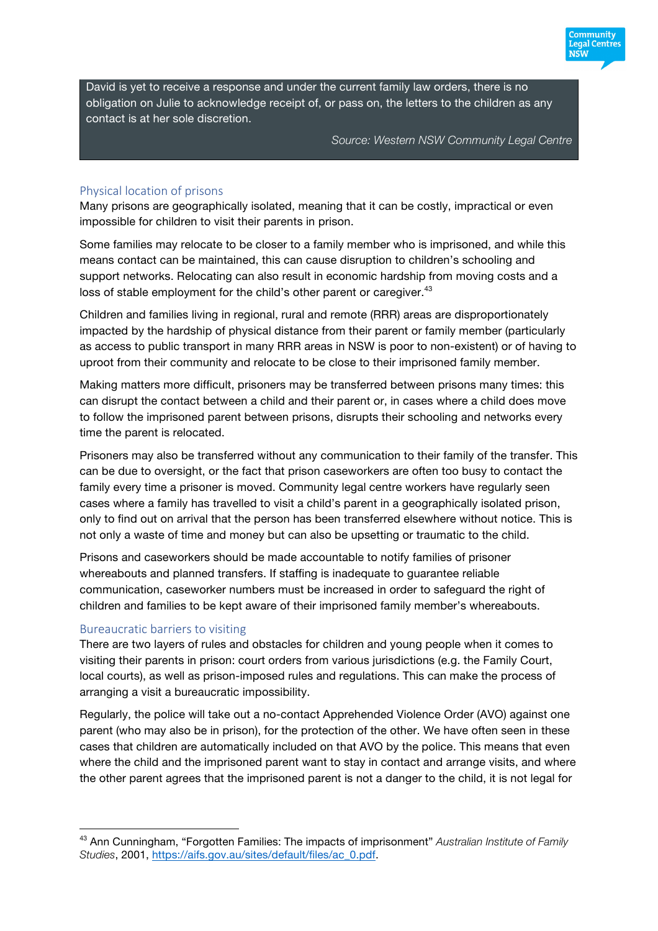David is yet to receive a response and under the current family law orders, there is no obligation on Julie to acknowledge receipt of, or pass on, the letters to the children as any contact is at her sole discretion.

*Source: Western NSW Community Legal Centre*

:ommunitv Legal Centres พรัพ

#### Physical location of prisons

Many prisons are geographically isolated, meaning that it can be costly, impractical or even impossible for children to visit their parents in prison.

Some families may relocate to be closer to a family member who is imprisoned, and while this means contact can be maintained, this can cause disruption to children's schooling and support networks. Relocating can also result in economic hardship from moving costs and a loss of stable employment for the child's other parent or caregiver.<sup>43</sup>

Children and families living in regional, rural and remote (RRR) areas are disproportionately impacted by the hardship of physical distance from their parent or family member (particularly as access to public transport in many RRR areas in NSW is poor to non-existent) or of having to uproot from their community and relocate to be close to their imprisoned family member.

Making matters more difficult, prisoners may be transferred between prisons many times: this can disrupt the contact between a child and their parent or, in cases where a child does move to follow the imprisoned parent between prisons, disrupts their schooling and networks every time the parent is relocated.

Prisoners may also be transferred without any communication to their family of the transfer. This can be due to oversight, or the fact that prison caseworkers are often too busy to contact the family every time a prisoner is moved. Community legal centre workers have regularly seen cases where a family has travelled to visit a child's parent in a geographically isolated prison, only to find out on arrival that the person has been transferred elsewhere without notice. This is not only a waste of time and money but can also be upsetting or traumatic to the child.

Prisons and caseworkers should be made accountable to notify families of prisoner whereabouts and planned transfers. If staffing is inadequate to guarantee reliable communication, caseworker numbers must be increased in order to safeguard the right of children and families to be kept aware of their imprisoned family member's whereabouts.

#### Bureaucratic barriers to visiting

 $\overline{a}$ 

There are two layers of rules and obstacles for children and young people when it comes to visiting their parents in prison: court orders from various jurisdictions (e.g. the Family Court, local courts), as well as prison-imposed rules and regulations. This can make the process of arranging a visit a bureaucratic impossibility.

Regularly, the police will take out a no-contact Apprehended Violence Order (AVO) against one parent (who may also be in prison), for the protection of the other. We have often seen in these cases that children are automatically included on that AVO by the police. This means that even where the child and the imprisoned parent want to stay in contact and arrange visits, and where the other parent agrees that the imprisoned parent is not a danger to the child, it is not legal for

<sup>43</sup> Ann Cunningham, "Forgotten Families: The impacts of imprisonment" *Australian Institute of Family Studies*, 2001, https://aifs.gov.au/sites/default/files/ac\_0.pdf.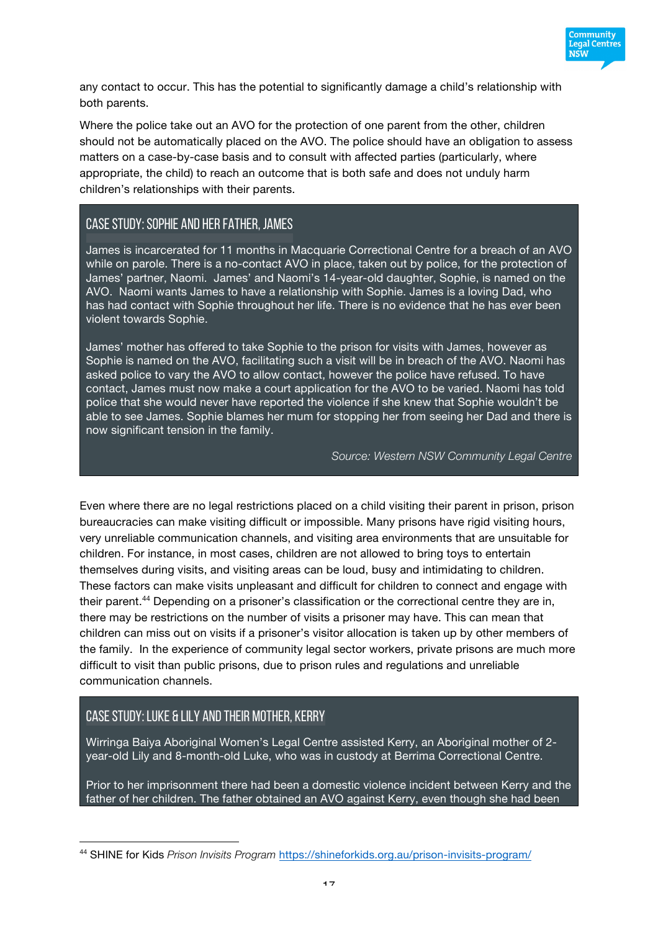

any contact to occur. This has the potential to significantly damage a child's relationship with both parents.

Where the police take out an AVO for the protection of one parent from the other, children should not be automatically placed on the AVO. The police should have an obligation to assess matters on a case-by-case basis and to consult with affected parties (particularly, where appropriate, the child) to reach an outcome that is both safe and does not unduly harm children's relationships with their parents.

#### Case study: Sophie and her father, James

James is incarcerated for 11 months in Macquarie Correctional Centre for a breach of an AVO while on parole. There is a no-contact AVO in place, taken out by police, for the protection of James' partner, Naomi. James' and Naomi's 14-year-old daughter, Sophie, is named on the AVO. Naomi wants James to have a relationship with Sophie. James is a loving Dad, who has had contact with Sophie throughout her life. There is no evidence that he has ever been violent towards Sophie.

James' mother has offered to take Sophie to the prison for visits with James, however as Sophie is named on the AVO, facilitating such a visit will be in breach of the AVO. Naomi has asked police to vary the AVO to allow contact, however the police have refused. To have contact, James must now make a court application for the AVO to be varied. Naomi has told police that she would never have reported the violence if she knew that Sophie wouldn't be able to see James. Sophie blames her mum for stopping her from seeing her Dad and there is now significant tension in the family.

*Source: Western NSW Community Legal Centre*

Even where there are no legal restrictions placed on a child visiting their parent in prison, prison bureaucracies can make visiting difficult or impossible. Many prisons have rigid visiting hours, very unreliable communication channels, and visiting area environments that are unsuitable for children. For instance, in most cases, children are not allowed to bring toys to entertain themselves during visits, and visiting areas can be loud, busy and intimidating to children. These factors can make visits unpleasant and difficult for children to connect and engage with their parent.44 Depending on a prisoner's classification or the correctional centre they are in, there may be restrictions on the number of visits a prisoner may have. This can mean that children can miss out on visits if a prisoner's visitor allocation is taken up by other members of the family. In the experience of community legal sector workers, private prisons are much more difficult to visit than public prisons, due to prison rules and regulations and unreliable communication channels.

## Case study: Luke & Lily and their mother, Kerry

 $\overline{a}$ 

Wirringa Baiya Aboriginal Women's Legal Centre assisted Kerry, an Aboriginal mother of 2 year-old Lily and 8-month-old Luke, who was in custody at Berrima Correctional Centre.

Prior to her imprisonment there had been a domestic violence incident between Kerry and the father of her children. The father obtained an AVO against Kerry, even though she had been

<sup>44</sup> SHINE for Kids *Prison Invisits Program* https://shineforkids.org.au/prison-invisits-program/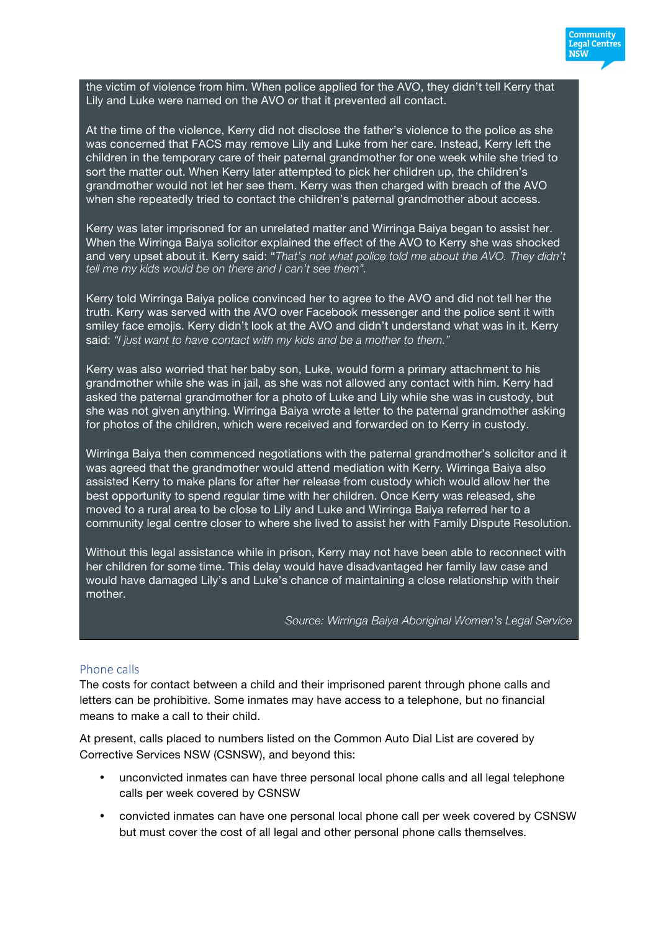the victim of violence from him. When police applied for the AVO, they didn't tell Kerry that Lily and Luke were named on the AVO or that it prevented all contact.

At the time of the violence, Kerry did not disclose the father's violence to the police as she was concerned that FACS may remove Lily and Luke from her care. Instead, Kerry left the children in the temporary care of their paternal grandmother for one week while she tried to sort the matter out. When Kerry later attempted to pick her children up, the children's grandmother would not let her see them. Kerry was then charged with breach of the AVO when she repeatedly tried to contact the children's paternal grandmother about access.

Kerry was later imprisoned for an unrelated matter and Wirringa Baiya began to assist her. When the Wirringa Baiya solicitor explained the effect of the AVO to Kerry she was shocked and very upset about it. Kerry said: "*That's not what police told me about the AVO. They didn't tell me my kids would be on there and I can't see them".*

Kerry told Wirringa Baiya police convinced her to agree to the AVO and did not tell her the truth. Kerry was served with the AVO over Facebook messenger and the police sent it with smiley face emojis. Kerry didn't look at the AVO and didn't understand what was in it. Kerry said: *"I just want to have contact with my kids and be a mother to them."*

Kerry was also worried that her baby son, Luke, would form a primary attachment to his grandmother while she was in jail, as she was not allowed any contact with him. Kerry had asked the paternal grandmother for a photo of Luke and Lily while she was in custody, but she was not given anything. Wirringa Baiya wrote a letter to the paternal grandmother asking for photos of the children, which were received and forwarded on to Kerry in custody.

Wirringa Baiya then commenced negotiations with the paternal grandmother's solicitor and it was agreed that the grandmother would attend mediation with Kerry. Wirringa Baiya also assisted Kerry to make plans for after her release from custody which would allow her the best opportunity to spend regular time with her children. Once Kerry was released, she moved to a rural area to be close to Lily and Luke and Wirringa Baiya referred her to a community legal centre closer to where she lived to assist her with Family Dispute Resolution.

Without this legal assistance while in prison, Kerry may not have been able to reconnect with her children for some time. This delay would have disadvantaged her family law case and would have damaged Lily's and Luke's chance of maintaining a close relationship with their mother.

*Source: Wirringa Baiya Aboriginal Women's Legal Service*

Community **Legal Centres NSW** 

#### Phone calls

The costs for contact between a child and their imprisoned parent through phone calls and letters can be prohibitive. Some inmates may have access to a telephone, but no financial means to make a call to their child.

At present, calls placed to numbers listed on the Common Auto Dial List are covered by Corrective Services NSW (CSNSW), and beyond this:

- unconvicted inmates can have three personal local phone calls and all legal telephone calls per week covered by CSNSW
- convicted inmates can have one personal local phone call per week covered by CSNSW but must cover the cost of all legal and other personal phone calls themselves.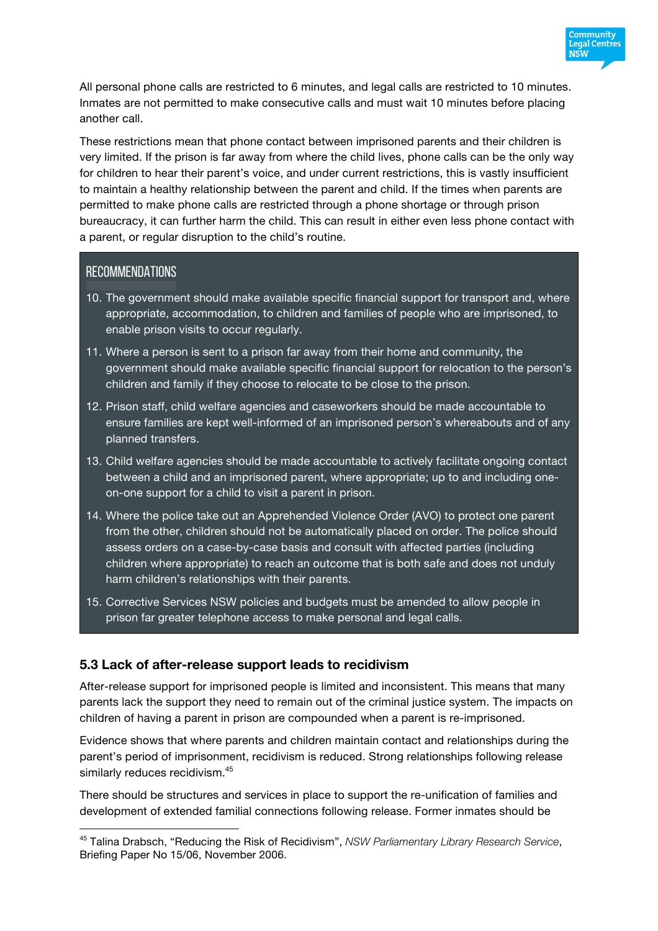

All personal phone calls are restricted to 6 minutes, and legal calls are restricted to 10 minutes. Inmates are not permitted to make consecutive calls and must wait 10 minutes before placing another call.

These restrictions mean that phone contact between imprisoned parents and their children is very limited. If the prison is far away from where the child lives, phone calls can be the only way for children to hear their parent's voice, and under current restrictions, this is vastly insufficient to maintain a healthy relationship between the parent and child. If the times when parents are permitted to make phone calls are restricted through a phone shortage or through prison bureaucracy, it can further harm the child. This can result in either even less phone contact with a parent, or regular disruption to the child's routine.

#### **RECOMMENDATIONS**

 $\overline{a}$ 

- 10. The government should make available specific financial support for transport and, where appropriate, accommodation, to children and families of people who are imprisoned, to enable prison visits to occur regularly.
- 11. Where a person is sent to a prison far away from their home and community, the government should make available specific financial support for relocation to the person's children and family if they choose to relocate to be close to the prison.
- 12. Prison staff, child welfare agencies and caseworkers should be made accountable to ensure families are kept well-informed of an imprisoned person's whereabouts and of any planned transfers.
- 13. Child welfare agencies should be made accountable to actively facilitate ongoing contact between a child and an imprisoned parent, where appropriate; up to and including oneon-one support for a child to visit a parent in prison.
- 14. Where the police take out an Apprehended Violence Order (AVO) to protect one parent from the other, children should not be automatically placed on order. The police should assess orders on a case-by-case basis and consult with affected parties (including children where appropriate) to reach an outcome that is both safe and does not unduly harm children's relationships with their parents.
- 15. Corrective Services NSW policies and budgets must be amended to allow people in prison far greater telephone access to make personal and legal calls.

#### **5.3 Lack of after-release support leads to recidivism**

After-release support for imprisoned people is limited and inconsistent. This means that many parents lack the support they need to remain out of the criminal justice system. The impacts on children of having a parent in prison are compounded when a parent is re-imprisoned.

Evidence shows that where parents and children maintain contact and relationships during the parent's period of imprisonment, recidivism is reduced. Strong relationships following release similarly reduces recidivism.<sup>45</sup>

There should be structures and services in place to support the re-unification of families and development of extended familial connections following release. Former inmates should be

<sup>45</sup> Talina Drabsch, "Reducing the Risk of Recidivism", *NSW Parliamentary Library Research Service*, Briefing Paper No 15/06, November 2006.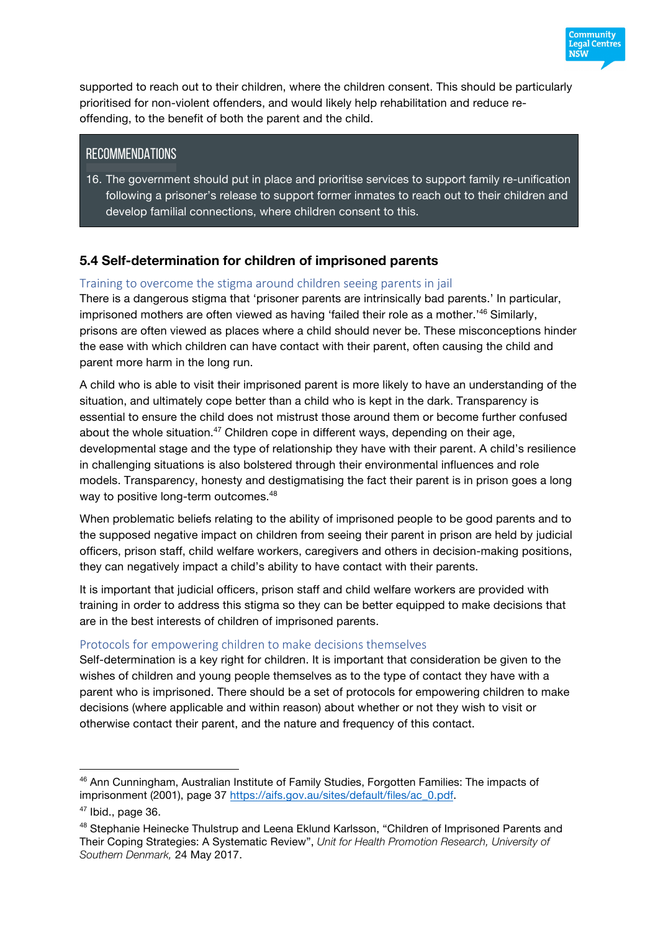

supported to reach out to their children, where the children consent. This should be particularly prioritised for non-violent offenders, and would likely help rehabilitation and reduce reoffending, to the benefit of both the parent and the child.

#### **RECOMMENDATIONS**

16. The government should put in place and prioritise services to support family re-unification following a prisoner's release to support former inmates to reach out to their children and develop familial connections, where children consent to this.

# **5.4 Self-determination for children of imprisoned parents**

#### Training to overcome the stigma around children seeing parents in jail

There is a dangerous stigma that 'prisoner parents are intrinsically bad parents.' In particular, imprisoned mothers are often viewed as having 'failed their role as a mother.<sup>146</sup> Similarly, prisons are often viewed as places where a child should never be. These misconceptions hinder the ease with which children can have contact with their parent, often causing the child and parent more harm in the long run.

A child who is able to visit their imprisoned parent is more likely to have an understanding of the situation, and ultimately cope better than a child who is kept in the dark. Transparency is essential to ensure the child does not mistrust those around them or become further confused about the whole situation.<sup>47</sup> Children cope in different ways, depending on their age, developmental stage and the type of relationship they have with their parent. A child's resilience in challenging situations is also bolstered through their environmental influences and role models. Transparency, honesty and destigmatising the fact their parent is in prison goes a long way to positive long-term outcomes.<sup>48</sup>

When problematic beliefs relating to the ability of imprisoned people to be good parents and to the supposed negative impact on children from seeing their parent in prison are held by judicial officers, prison staff, child welfare workers, caregivers and others in decision-making positions, they can negatively impact a child's ability to have contact with their parents.

It is important that judicial officers, prison staff and child welfare workers are provided with training in order to address this stigma so they can be better equipped to make decisions that are in the best interests of children of imprisoned parents.

#### Protocols for empowering children to make decisions themselves

Self-determination is a key right for children. It is important that consideration be given to the wishes of children and young people themselves as to the type of contact they have with a parent who is imprisoned. There should be a set of protocols for empowering children to make decisions (where applicable and within reason) about whether or not they wish to visit or otherwise contact their parent, and the nature and frequency of this contact.

 $\overline{a}$ 

<sup>&</sup>lt;sup>46</sup> Ann Cunningham, Australian Institute of Family Studies, Forgotten Families: The impacts of imprisonment (2001), page 37 https://aifs.gov.au/sites/default/files/ac\_0.pdf.

 $47$  Ibid., page 36.

<sup>48</sup> Stephanie Heinecke Thulstrup and Leena Eklund Karlsson, "Children of Imprisoned Parents and Their Coping Strategies: A Systematic Review", *Unit for Health Promotion Research, University of Southern Denmark,* 24 May 2017.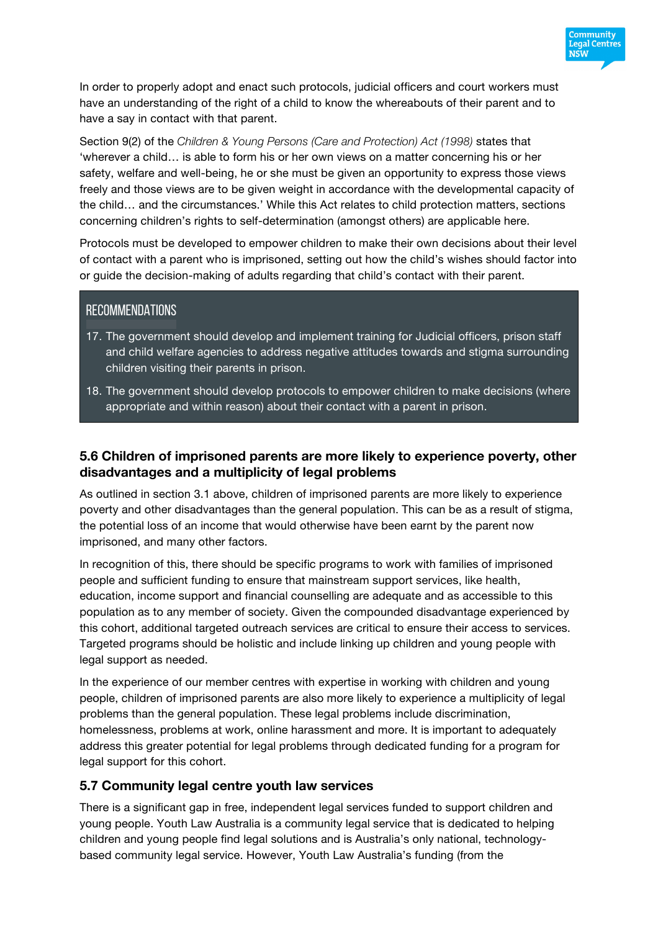

In order to properly adopt and enact such protocols, judicial officers and court workers must have an understanding of the right of a child to know the whereabouts of their parent and to have a say in contact with that parent.

Section 9(2) of the *Children & Young Persons (Care and Protection) Act (1998)* states that 'wherever a child… is able to form his or her own views on a matter concerning his or her safety, welfare and well-being, he or she must be given an opportunity to express those views freely and those views are to be given weight in accordance with the developmental capacity of the child… and the circumstances.' While this Act relates to child protection matters, sections concerning children's rights to self-determination (amongst others) are applicable here.

Protocols must be developed to empower children to make their own decisions about their level of contact with a parent who is imprisoned, setting out how the child's wishes should factor into or guide the decision-making of adults regarding that child's contact with their parent.

#### **RECOMMENDATIONS**

- 17. The government should develop and implement training for Judicial officers, prison staff and child welfare agencies to address negative attitudes towards and stigma surrounding children visiting their parents in prison.
- 18. The government should develop protocols to empower children to make decisions (where appropriate and within reason) about their contact with a parent in prison.

#### **5.6 Children of imprisoned parents are more likely to experience poverty, other disadvantages and a multiplicity of legal problems**

As outlined in section 3.1 above, children of imprisoned parents are more likely to experience poverty and other disadvantages than the general population. This can be as a result of stigma, the potential loss of an income that would otherwise have been earnt by the parent now imprisoned, and many other factors.

In recognition of this, there should be specific programs to work with families of imprisoned people and sufficient funding to ensure that mainstream support services, like health, education, income support and financial counselling are adequate and as accessible to this population as to any member of society. Given the compounded disadvantage experienced by this cohort, additional targeted outreach services are critical to ensure their access to services. Targeted programs should be holistic and include linking up children and young people with legal support as needed.

In the experience of our member centres with expertise in working with children and young people, children of imprisoned parents are also more likely to experience a multiplicity of legal problems than the general population. These legal problems include discrimination, homelessness, problems at work, online harassment and more. It is important to adequately address this greater potential for legal problems through dedicated funding for a program for legal support for this cohort.

#### **5.7 Community legal centre youth law services**

There is a significant gap in free, independent legal services funded to support children and young people. Youth Law Australia is a community legal service that is dedicated to helping children and young people find legal solutions and is Australia's only national, technologybased community legal service. However, Youth Law Australia's funding (from the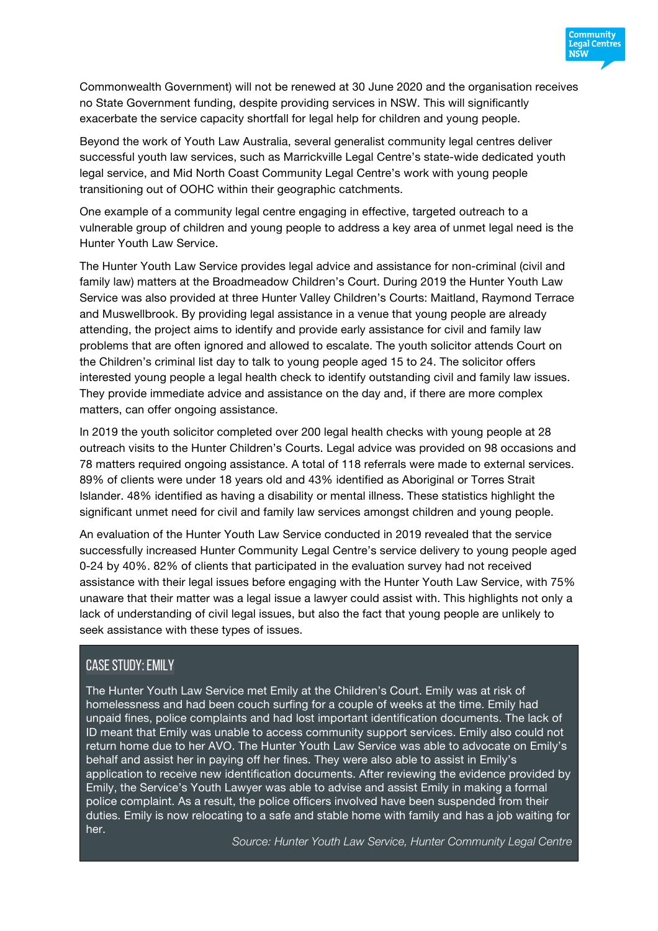

Commonwealth Government) will not be renewed at 30 June 2020 and the organisation receives no State Government funding, despite providing services in NSW. This will significantly exacerbate the service capacity shortfall for legal help for children and young people.

Beyond the work of Youth Law Australia, several generalist community legal centres deliver successful youth law services, such as Marrickville Legal Centre's state-wide dedicated youth legal service, and Mid North Coast Community Legal Centre's work with young people transitioning out of OOHC within their geographic catchments.

One example of a community legal centre engaging in effective, targeted outreach to a vulnerable group of children and young people to address a key area of unmet legal need is the Hunter Youth Law Service.

The Hunter Youth Law Service provides legal advice and assistance for non-criminal (civil and family law) matters at the Broadmeadow Children's Court. During 2019 the Hunter Youth Law Service was also provided at three Hunter Valley Children's Courts: Maitland, Raymond Terrace and Muswellbrook. By providing legal assistance in a venue that young people are already attending, the project aims to identify and provide early assistance for civil and family law problems that are often ignored and allowed to escalate. The youth solicitor attends Court on the Children's criminal list day to talk to young people aged 15 to 24. The solicitor offers interested young people a legal health check to identify outstanding civil and family law issues. They provide immediate advice and assistance on the day and, if there are more complex matters, can offer ongoing assistance.

In 2019 the youth solicitor completed over 200 legal health checks with young people at 28 outreach visits to the Hunter Children's Courts. Legal advice was provided on 98 occasions and 78 matters required ongoing assistance. A total of 118 referrals were made to external services. 89% of clients were under 18 years old and 43% identified as Aboriginal or Torres Strait Islander. 48% identified as having a disability or mental illness. These statistics highlight the significant unmet need for civil and family law services amongst children and young people.

An evaluation of the Hunter Youth Law Service conducted in 2019 revealed that the service successfully increased Hunter Community Legal Centre's service delivery to young people aged 0-24 by 40%. 82% of clients that participated in the evaluation survey had not received assistance with their legal issues before engaging with the Hunter Youth Law Service, with 75% unaware that their matter was a legal issue a lawyer could assist with. This highlights not only a lack of understanding of civil legal issues, but also the fact that young people are unlikely to seek assistance with these types of issues.

## Case study: Emily

The Hunter Youth Law Service met Emily at the Children's Court. Emily was at risk of homelessness and had been couch surfing for a couple of weeks at the time. Emily had unpaid fines, police complaints and had lost important identification documents. The lack of ID meant that Emily was unable to access community support services. Emily also could not return home due to her AVO. The Hunter Youth Law Service was able to advocate on Emily's behalf and assist her in paying off her fines. They were also able to assist in Emily's application to receive new identification documents. After reviewing the evidence provided by Emily, the Service's Youth Lawyer was able to advise and assist Emily in making a formal police complaint. As a result, the police officers involved have been suspended from their duties. Emily is now relocating to a safe and stable home with family and has a job waiting for her.

*Source: Hunter Youth Law Service, Hunter Community Legal Centre*